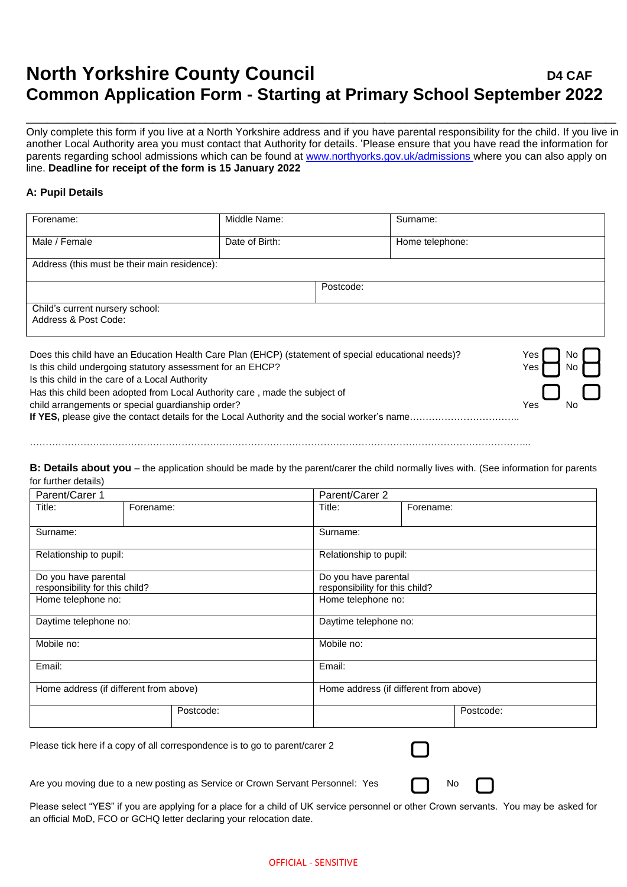## **North Yorkshire County Council <b>D4** CAF **Common Application Form - Starting at Primary School September 2022**

Only complete this form if you live at a North Yorkshire address and if you have parental responsibility for the child. If you live in another Local Authority area you must contact that Authority for details. 'Please ensure that you have read the information for parents regarding school admissions which can be found at [www.northyorks.gov.uk/admissions](http://www.northyorks.gov.uk/admissions) where you can also apply on line. **Deadline for receipt of the form is 15 January 2022**

**\_\_\_\_\_\_\_\_\_\_\_\_\_\_\_\_\_\_\_\_\_\_\_\_\_\_\_\_\_\_\_\_\_\_\_\_\_\_\_\_\_\_\_\_\_\_\_\_\_\_\_\_\_\_\_\_**

## **A: Pupil Details**

| Forename:                                                                                                                                                                                      | Middle Name:   |           | Surname:        |  |
|------------------------------------------------------------------------------------------------------------------------------------------------------------------------------------------------|----------------|-----------|-----------------|--|
| Male / Female                                                                                                                                                                                  | Date of Birth: |           | Home telephone: |  |
| Address (this must be their main residence):                                                                                                                                                   |                |           |                 |  |
|                                                                                                                                                                                                |                | Postcode: |                 |  |
| Child's current nursery school:<br>Address & Post Code:                                                                                                                                        |                |           |                 |  |
| Does this child have an Education Health Care Plan (EHCP) (statement of special educational needs)?<br>Yes l<br>No.<br>Is this child undergoing statutory assessment for an EHCP?<br>Yes<br>No |                |           |                 |  |

Is this child in the care of a Local Authority

Has this child been adopted from Local Authority care , made the subject of

child arrangements or special guardianship order?

**If YES,** please give the contact details for the Local Authority and the social worker's name……………………………..

…………………………………………………………………………………………………………………………………………...

**B: Details about you** – the application should be made by the parent/carer the child normally lives with. (See information for parents for further details)

| Parent/Carer 1                                         |           | Parent/Carer 2         |                                                        |  |  |
|--------------------------------------------------------|-----------|------------------------|--------------------------------------------------------|--|--|
| Title:                                                 | Forename: | Title:                 | Forename:                                              |  |  |
| Surname:                                               |           | Surname:               |                                                        |  |  |
| Relationship to pupil:                                 |           | Relationship to pupil: |                                                        |  |  |
| Do you have parental<br>responsibility for this child? |           |                        | Do you have parental<br>responsibility for this child? |  |  |
| Home telephone no:                                     |           | Home telephone no:     |                                                        |  |  |
| Daytime telephone no:                                  |           | Daytime telephone no:  |                                                        |  |  |
| Mobile no:                                             |           | Mobile no:             |                                                        |  |  |
| Email:                                                 |           | Email:                 |                                                        |  |  |
| Home address (if different from above)                 |           |                        | Home address (if different from above)                 |  |  |
|                                                        | Postcode: |                        | Postcode:                                              |  |  |

Please tick here if a copy of all correspondence is to go to parent/carer 2

Are you moving due to a new posting as Service or Crown Servant Personnel: Yes  $\bigcap$  No

Please select "YES" if you are applying for a place for a child of UK service personnel or other Crown servants. You may be asked for an official MoD, FCO or GCHQ letter declaring your relocation date.